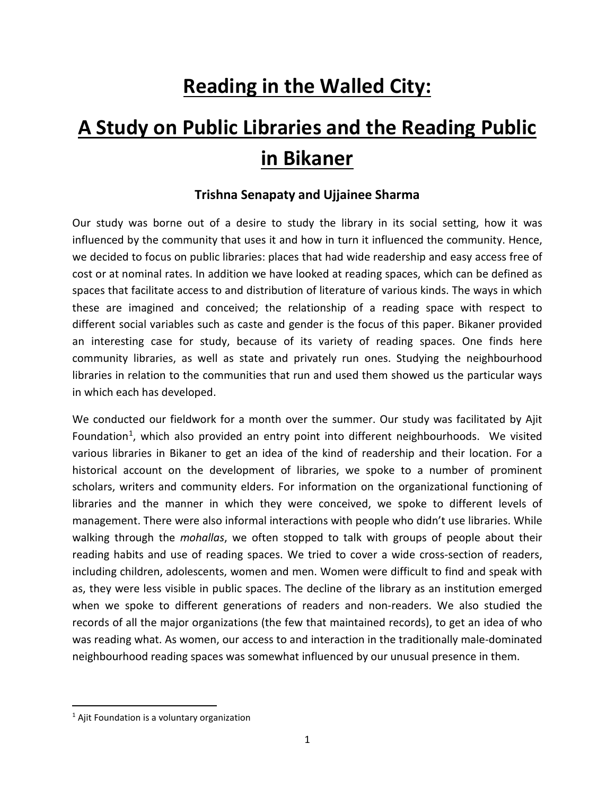## **Reading in the Walled City:**

# **A Study on Public Libraries and the Reading Public in Bikaner**

### **Trishna Senapaty and Ujjainee Sharma**

Our study was borne out of a desire to study the library in its social setting, how it was influenced by the community that uses it and how in turn it influenced the community. Hence, we decided to focus on public libraries: places that had wide readership and easy access free of cost or at nominal rates. In addition we have looked at reading spaces, which can be defined as spaces that facilitate access to and distribution of literature of various kinds. The ways in which these are imagined and conceived; the relationship of a reading space with respect to different social variables such as caste and gender is the focus of this paper. Bikaner provided an interesting case for study, because of its variety of reading spaces. One finds here community libraries, as well as state and privately run ones. Studying the neighbourhood libraries in relation to the communities that run and used them showed us the particular ways in which each has developed.

We conducted our fieldwork for a month over the summer. Our study was facilitated by Ajit Foundation<sup>[1](#page-0-0)</sup>, which also provided an entry point into different neighbourhoods. We visited various libraries in Bikaner to get an idea of the kind of readership and their location. For a historical account on the development of libraries, we spoke to a number of prominent scholars, writers and community elders. For information on the organizational functioning of libraries and the manner in which they were conceived, we spoke to different levels of management. There were also informal interactions with people who didn't use libraries. While walking through the *mohallas*, we often stopped to talk with groups of people about their reading habits and use of reading spaces. We tried to cover a wide cross-section of readers, including children, adolescents, women and men. Women were difficult to find and speak with as, they were less visible in public spaces. The decline of the library as an institution emerged when we spoke to different generations of readers and non-readers. We also studied the records of all the major organizations (the few that maintained records), to get an idea of who was reading what. As women, our access to and interaction in the traditionally male-dominated neighbourhood reading spaces was somewhat influenced by our unusual presence in them.

<span id="page-0-0"></span> $<sup>1</sup>$  Ajit Foundation is a voluntary organization</sup>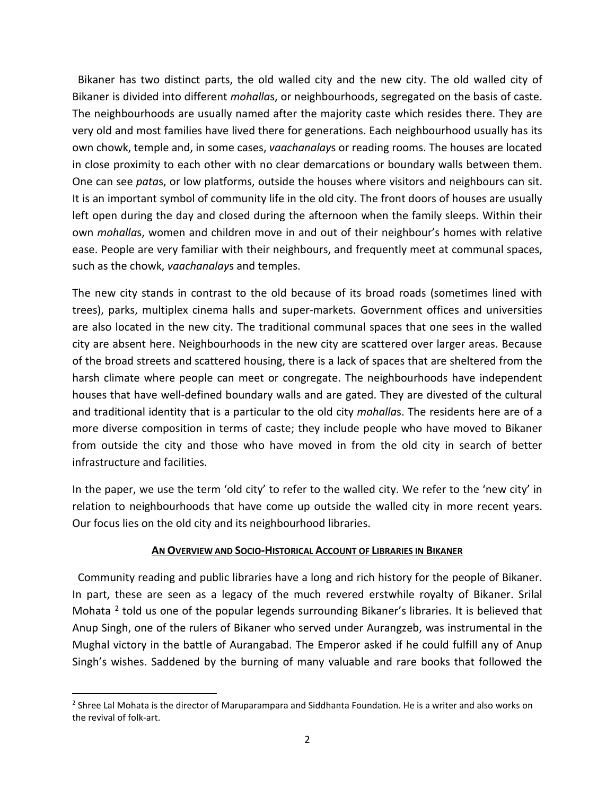Bikaner has two distinct parts, the old walled city and the new city. The old walled city of Bikaner is divided into different *mohalla*s, or neighbourhoods, segregated on the basis of caste. The neighbourhoods are usually named after the majority caste which resides there. They are very old and most families have lived there for generations. Each neighbourhood usually has its own chowk, temple and, in some cases, *vaachanalay*s or reading rooms. The houses are located in close proximity to each other with no clear demarcations or boundary walls between them. One can see *pata*s, or low platforms, outside the houses where visitors and neighbours can sit. It is an important symbol of community life in the old city. The front doors of houses are usually left open during the day and closed during the afternoon when the family sleeps. Within their own *mohalla*s, women and children move in and out of their neighbour's homes with relative ease. People are very familiar with their neighbours, and frequently meet at communal spaces, such as the chowk, *vaachanalay*s and temples.

The new city stands in contrast to the old because of its broad roads (sometimes lined with trees), parks, multiplex cinema halls and super-markets. Government offices and universities are also located in the new city. The traditional communal spaces that one sees in the walled city are absent here. Neighbourhoods in the new city are scattered over larger areas. Because of the broad streets and scattered housing, there is a lack of spaces that are sheltered from the harsh climate where people can meet or congregate. The neighbourhoods have independent houses that have well-defined boundary walls and are gated. They are divested of the cultural and traditional identity that is a particular to the old city *mohalla*s. The residents here are of a more diverse composition in terms of caste; they include people who have moved to Bikaner from outside the city and those who have moved in from the old city in search of better infrastructure and facilities.

In the paper, we use the term 'old city' to refer to the walled city. We refer to the 'new city' in relation to neighbourhoods that have come up outside the walled city in more recent years. Our focus lies on the old city and its neighbourhood libraries.

#### **AN OVERVIEW AND SOCIO-HISTORICAL ACCOUNT OF LIBRARIES IN BIKANER**

 Community reading and public libraries have a long and rich history for the people of Bikaner. In part, these are seen as a legacy of the much revered erstwhile royalty of Bikaner. Srilal Mohata  $<sup>2</sup>$  $<sup>2</sup>$  $<sup>2</sup>$  told us one of the popular legends surrounding Bikaner's libraries. It is believed that</sup> Anup Singh, one of the rulers of Bikaner who served under Aurangzeb, was instrumental in the Mughal victory in the battle of Aurangabad. The Emperor asked if he could fulfill any of Anup Singh's wishes. Saddened by the burning of many valuable and rare books that followed the

<span id="page-1-0"></span><sup>&</sup>lt;sup>2</sup> Shree Lal Mohata is the director of Maruparampara and Siddhanta Foundation. He is a writer and also works on the revival of folk-art.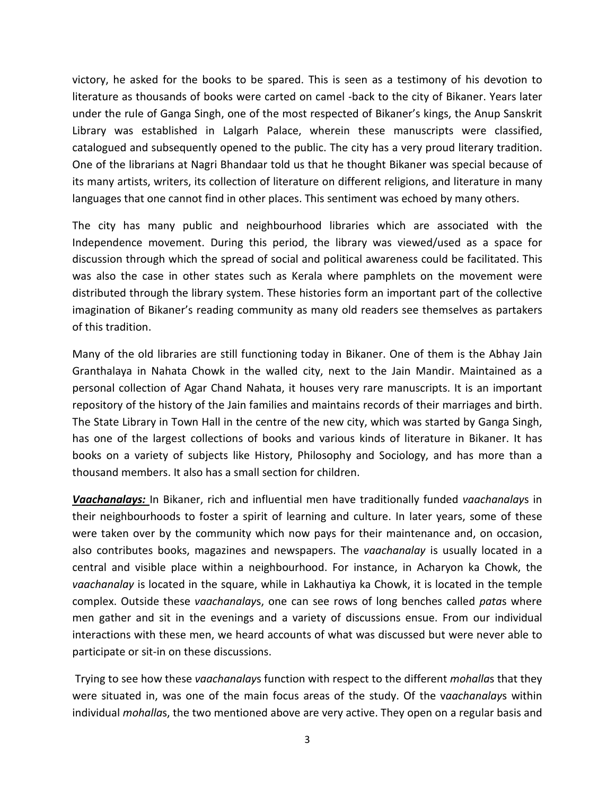victory, he asked for the books to be spared. This is seen as a testimony of his devotion to literature as thousands of books were carted on camel -back to the city of Bikaner. Years later under the rule of Ganga Singh, one of the most respected of Bikaner's kings, the Anup Sanskrit Library was established in Lalgarh Palace, wherein these manuscripts were classified, catalogued and subsequently opened to the public. The city has a very proud literary tradition. One of the librarians at Nagri Bhandaar told us that he thought Bikaner was special because of its many artists, writers, its collection of literature on different religions, and literature in many languages that one cannot find in other places. This sentiment was echoed by many others.

The city has many public and neighbourhood libraries which are associated with the Independence movement. During this period, the library was viewed/used as a space for discussion through which the spread of social and political awareness could be facilitated. This was also the case in other states such as Kerala where pamphlets on the movement were distributed through the library system. These histories form an important part of the collective imagination of Bikaner's reading community as many old readers see themselves as partakers of this tradition.

Many of the old libraries are still functioning today in Bikaner. One of them is the Abhay Jain Granthalaya in Nahata Chowk in the walled city, next to the Jain Mandir. Maintained as a personal collection of Agar Chand Nahata, it houses very rare manuscripts. It is an important repository of the history of the Jain families and maintains records of their marriages and birth. The State Library in Town Hall in the centre of the new city, which was started by Ganga Singh, has one of the largest collections of books and various kinds of literature in Bikaner. It has books on a variety of subjects like History, Philosophy and Sociology, and has more than a thousand members. It also has a small section for children.

*Vaachanalays:* In Bikaner, rich and influential men have traditionally funded *vaachanalay*s in their neighbourhoods to foster a spirit of learning and culture. In later years, some of these were taken over by the community which now pays for their maintenance and, on occasion, also contributes books, magazines and newspapers. The *vaachanalay* is usually located in a central and visible place within a neighbourhood. For instance, in Acharyon ka Chowk, the *vaachanalay* is located in the square, while in Lakhautiya ka Chowk, it is located in the temple complex. Outside these *vaachanalay*s, one can see rows of long benches called *pata*s where men gather and sit in the evenings and a variety of discussions ensue. From our individual interactions with these men, we heard accounts of what was discussed but were never able to participate or sit-in on these discussions.

Trying to see how these *vaachanalay*s function with respect to the different *mohalla*s that they were situated in, was one of the main focus areas of the study. Of the v*aachanalay*s within individual *mohalla*s, the two mentioned above are very active. They open on a regular basis and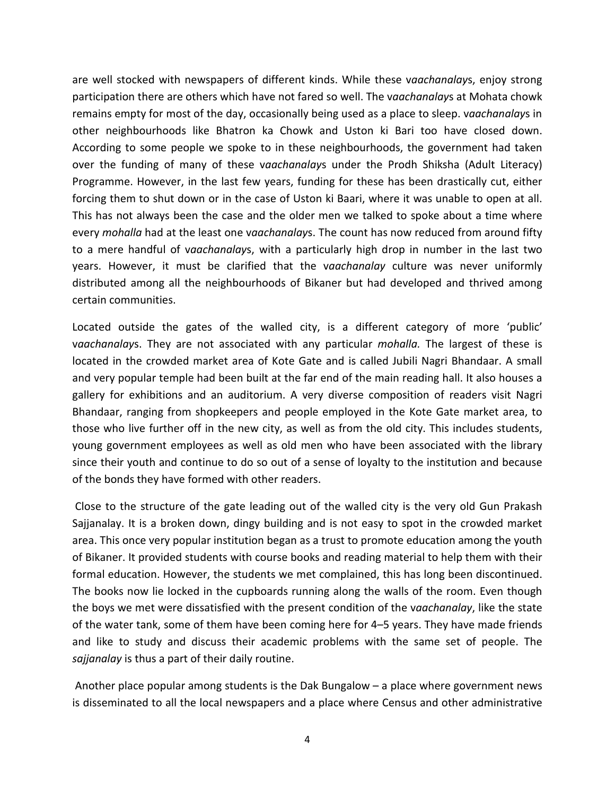are well stocked with newspapers of different kinds. While these v*aachanalay*s, enjoy strong participation there are others which have not fared so well. The v*aachanalay*s at Mohata chowk remains empty for most of the day, occasionally being used as a place to sleep. v*aachanalay*s in other neighbourhoods like Bhatron ka Chowk and Uston ki Bari too have closed down. According to some people we spoke to in these neighbourhoods, the government had taken over the funding of many of these v*aachanalay*s under the Prodh Shiksha (Adult Literacy) Programme. However, in the last few years, funding for these has been drastically cut, either forcing them to shut down or in the case of Uston ki Baari, where it was unable to open at all. This has not always been the case and the older men we talked to spoke about a time where every *mohalla* had at the least one v*aachanalay*s. The count has now reduced from around fifty to a mere handful of v*aachanalay*s, with a particularly high drop in number in the last two years. However, it must be clarified that the v*aachanalay* culture was never uniformly distributed among all the neighbourhoods of Bikaner but had developed and thrived among certain communities.

Located outside the gates of the walled city, is a different category of more 'public' v*aachanalay*s. They are not associated with any particular *mohalla.* The largest of these is located in the crowded market area of Kote Gate and is called Jubili Nagri Bhandaar. A small and very popular temple had been built at the far end of the main reading hall. It also houses a gallery for exhibitions and an auditorium. A very diverse composition of readers visit Nagri Bhandaar, ranging from shopkeepers and people employed in the Kote Gate market area, to those who live further off in the new city, as well as from the old city. This includes students, young government employees as well as old men who have been associated with the library since their youth and continue to do so out of a sense of loyalty to the institution and because of the bonds they have formed with other readers.

Close to the structure of the gate leading out of the walled city is the very old Gun Prakash Sajjanalay. It is a broken down, dingy building and is not easy to spot in the crowded market area. This once very popular institution began as a trust to promote education among the youth of Bikaner. It provided students with course books and reading material to help them with their formal education. However, the students we met complained, this has long been discontinued. The books now lie locked in the cupboards running along the walls of the room. Even though the boys we met were dissatisfied with the present condition of the v*aachanalay*, like the state of the water tank, some of them have been coming here for 4–5 years. They have made friends and like to study and discuss their academic problems with the same set of people. The *sajjanalay* is thus a part of their daily routine.

Another place popular among students is the Dak Bungalow – a place where government news is disseminated to all the local newspapers and a place where Census and other administrative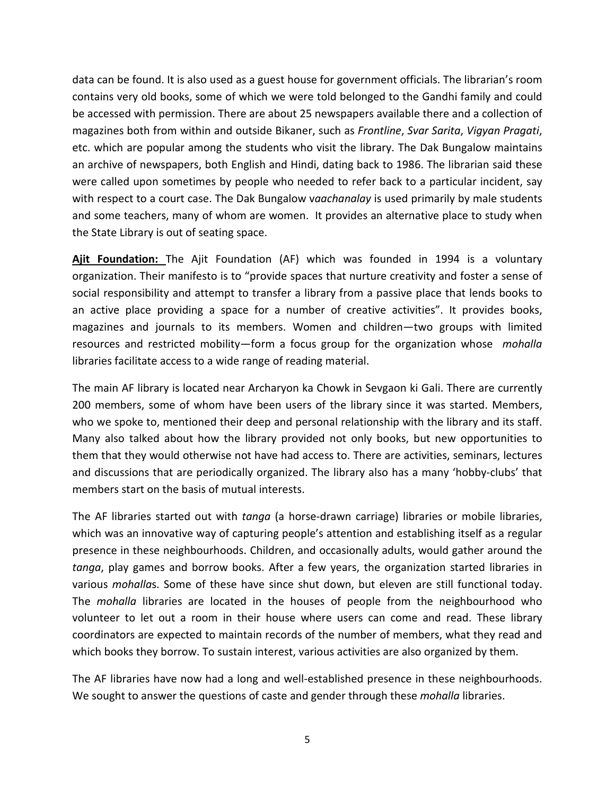data can be found. It is also used as a guest house for government officials. The librarian's room contains very old books, some of which we were told belonged to the Gandhi family and could be accessed with permission. There are about 25 newspapers available there and a collection of magazines both from within and outside Bikaner, such as *Frontline*, *Svar Sarita*, *Vigyan Pragati*, etc. which are popular among the students who visit the library. The Dak Bungalow maintains an archive of newspapers, both English and Hindi, dating back to 1986. The librarian said these were called upon sometimes by people who needed to refer back to a particular incident, say with respect to a court case. The Dak Bungalow v*aachanalay* is used primarily by male students and some teachers, many of whom are women. It provides an alternative place to study when the State Library is out of seating space.

**Ajit Foundation:** The Ajit Foundation (AF) which was founded in 1994 is a voluntary organization. Their manifesto is to "provide spaces that nurture creativity and foster a sense of social responsibility and attempt to transfer a library from a passive place that lends books to an active place providing a space for a number of creative activities". It provides books, magazines and journals to its members. Women and children—two groups with limited resources and restricted mobility—form a focus group for the organization whose *mohalla* libraries facilitate access to a wide range of reading material.

The main AF library is located near Archaryon ka Chowk in Sevgaon ki Gali. There are currently 200 members, some of whom have been users of the library since it was started. Members, who we spoke to, mentioned their deep and personal relationship with the library and its staff. Many also talked about how the library provided not only books, but new opportunities to them that they would otherwise not have had access to. There are activities, seminars, lectures and discussions that are periodically organized. The library also has a many 'hobby-clubs' that members start on the basis of mutual interests.

The AF libraries started out with *tanga* (a horse-drawn carriage) libraries or mobile libraries, which was an innovative way of capturing people's attention and establishing itself as a regular presence in these neighbourhoods. Children, and occasionally adults, would gather around the *tanga*, play games and borrow books. After a few years, the organization started libraries in various *mohalla*s. Some of these have since shut down, but eleven are still functional today. The *mohalla* libraries are located in the houses of people from the neighbourhood who volunteer to let out a room in their house where users can come and read. These library coordinators are expected to maintain records of the number of members, what they read and which books they borrow. To sustain interest, various activities are also organized by them.

The AF libraries have now had a long and well-established presence in these neighbourhoods. We sought to answer the questions of caste and gender through these *mohalla* libraries.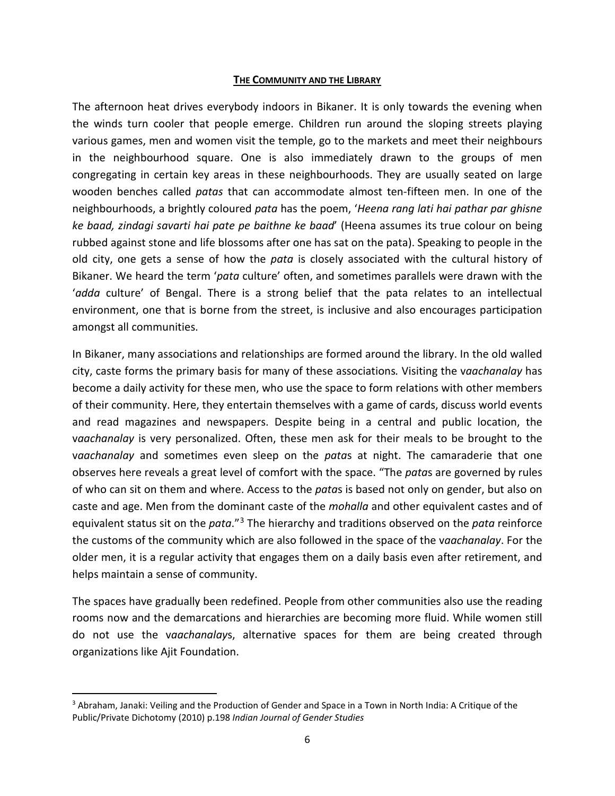#### **THE COMMUNITY AND THE LIBRARY**

The afternoon heat drives everybody indoors in Bikaner. It is only towards the evening when the winds turn cooler that people emerge. Children run around the sloping streets playing various games, men and women visit the temple, go to the markets and meet their neighbours in the neighbourhood square. One is also immediately drawn to the groups of men congregating in certain key areas in these neighbourhoods. They are usually seated on large wooden benches called *patas* that can accommodate almost ten-fifteen men. In one of the neighbourhoods, a brightly coloured *pata* has the poem, '*Heena rang lati hai pathar par ghisne ke baad, zindagi savarti hai pate pe baithne ke baad*' (Heena assumes its true colour on being rubbed against stone and life blossoms after one has sat on the pata). Speaking to people in the old city, one gets a sense of how the *pata* is closely associated with the cultural history of Bikaner. We heard the term '*pata* culture' often, and sometimes parallels were drawn with the '*adda* culture' of Bengal. There is a strong belief that the pata relates to an intellectual environment, one that is borne from the street, is inclusive and also encourages participation amongst all communities.

In Bikaner, many associations and relationships are formed around the library. In the old walled city, caste forms the primary basis for many of these associations*.* Visiting the v*aachanalay* has become a daily activity for these men, who use the space to form relations with other members of their community. Here, they entertain themselves with a game of cards, discuss world events and read magazines and newspapers. Despite being in a central and public location, the v*aachanalay* is very personalized. Often, these men ask for their meals to be brought to the v*aachanalay* and sometimes even sleep on the *pata*s at night. The camaraderie that one observes here reveals a great level of comfort with the space. "The *pata*s are governed by rules of who can sit on them and where. Access to the *pata*s is based not only on gender, but also on caste and age. Men from the dominant caste of the *mohalla* and other equivalent castes and of equivalent status sit on the *pata*."[3](#page-5-0) The hierarchy and traditions observed on the *pata* reinforce the customs of the community which are also followed in the space of the v*aachanalay*. For the older men, it is a regular activity that engages them on a daily basis even after retirement, and helps maintain a sense of community.

The spaces have gradually been redefined. People from other communities also use the reading rooms now and the demarcations and hierarchies are becoming more fluid. While women still do not use the v*aachanalay*s, alternative spaces for them are being created through organizations like Ajit Foundation.

<span id="page-5-0"></span> <sup>3</sup> Abraham, Janaki: Veiling and the Production of Gender and Space in a Town in North India: A Critique of the Public/Private Dichotomy (2010) p.198 *Indian Journal of Gender Studies*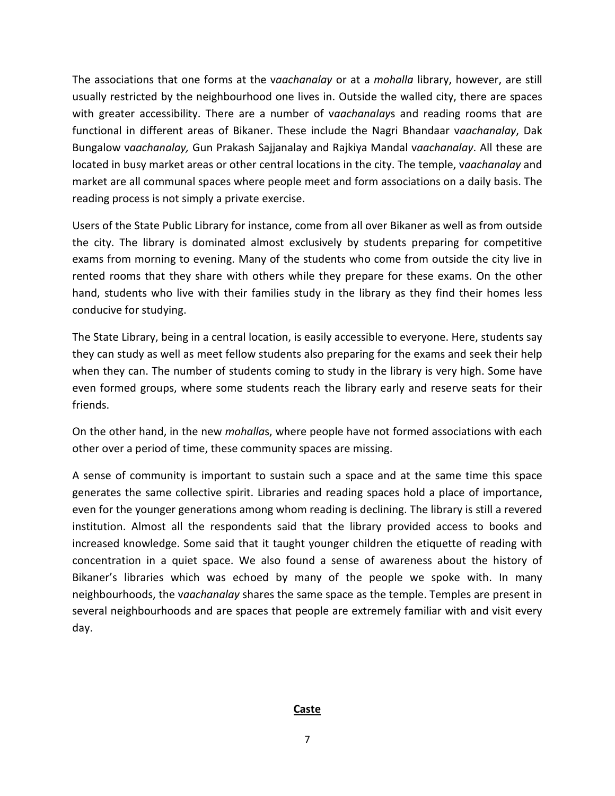The associations that one forms at the v*aachanalay* or at a *mohalla* library, however, are still usually restricted by the neighbourhood one lives in. Outside the walled city, there are spaces with greater accessibility. There are a number of v*aachanalay*s and reading rooms that are functional in different areas of Bikaner. These include the Nagri Bhandaar v*aachanalay*, Dak Bungalow v*aachanalay,* Gun Prakash Sajjanalay and Rajkiya Mandal v*aachanalay*. All these are located in busy market areas or other central locations in the city. The temple, v*aachanalay* and market are all communal spaces where people meet and form associations on a daily basis. The reading process is not simply a private exercise.

Users of the State Public Library for instance, come from all over Bikaner as well as from outside the city. The library is dominated almost exclusively by students preparing for competitive exams from morning to evening. Many of the students who come from outside the city live in rented rooms that they share with others while they prepare for these exams. On the other hand, students who live with their families study in the library as they find their homes less conducive for studying.

The State Library, being in a central location, is easily accessible to everyone. Here, students say they can study as well as meet fellow students also preparing for the exams and seek their help when they can. The number of students coming to study in the library is very high. Some have even formed groups, where some students reach the library early and reserve seats for their friends.

On the other hand, in the new *mohalla*s, where people have not formed associations with each other over a period of time, these community spaces are missing.

A sense of community is important to sustain such a space and at the same time this space generates the same collective spirit. Libraries and reading spaces hold a place of importance, even for the younger generations among whom reading is declining. The library is still a revered institution. Almost all the respondents said that the library provided access to books and increased knowledge. Some said that it taught younger children the etiquette of reading with concentration in a quiet space. We also found a sense of awareness about the history of Bikaner's libraries which was echoed by many of the people we spoke with. In many neighbourhoods, the v*aachanalay* shares the same space as the temple. Temples are present in several neighbourhoods and are spaces that people are extremely familiar with and visit every day.

#### **Caste**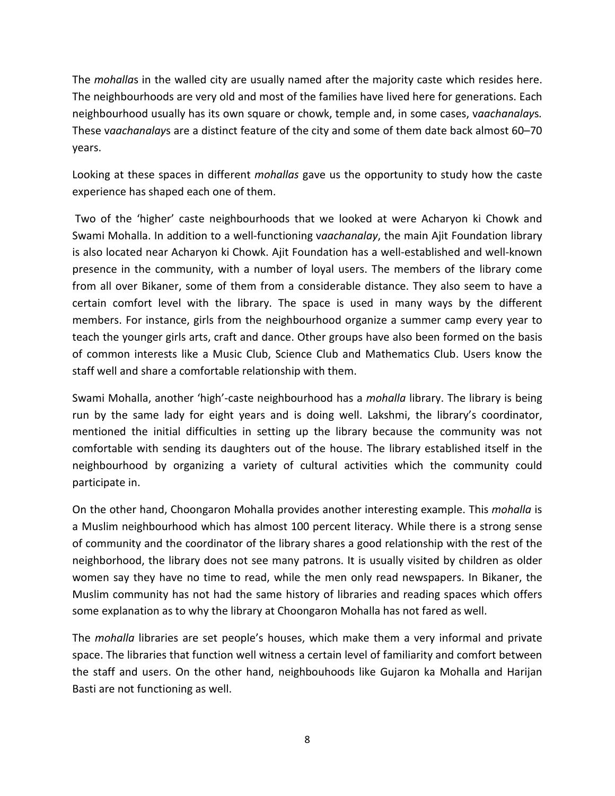The *mohalla*s in the walled city are usually named after the majority caste which resides here. The neighbourhoods are very old and most of the families have lived here for generations. Each neighbourhood usually has its own square or chowk, temple and, in some cases, v*aachanalay*s*.*  These v*aachanalay*s are a distinct feature of the city and some of them date back almost 60–70 years.

Looking at these spaces in different *mohallas* gave us the opportunity to study how the caste experience has shaped each one of them.

Two of the 'higher' caste neighbourhoods that we looked at were Acharyon ki Chowk and Swami Mohalla. In addition to a well-functioning v*aachanalay*, the main Ajit Foundation library is also located near Acharyon ki Chowk. Ajit Foundation has a well-established and well-known presence in the community, with a number of loyal users. The members of the library come from all over Bikaner, some of them from a considerable distance. They also seem to have a certain comfort level with the library. The space is used in many ways by the different members. For instance, girls from the neighbourhood organize a summer camp every year to teach the younger girls arts, craft and dance. Other groups have also been formed on the basis of common interests like a Music Club, Science Club and Mathematics Club. Users know the staff well and share a comfortable relationship with them.

Swami Mohalla, another 'high'-caste neighbourhood has a *mohalla* library. The library is being run by the same lady for eight years and is doing well. Lakshmi, the library's coordinator, mentioned the initial difficulties in setting up the library because the community was not comfortable with sending its daughters out of the house. The library established itself in the neighbourhood by organizing a variety of cultural activities which the community could participate in.

On the other hand, Choongaron Mohalla provides another interesting example. This *mohalla* is a Muslim neighbourhood which has almost 100 percent literacy. While there is a strong sense of community and the coordinator of the library shares a good relationship with the rest of the neighborhood, the library does not see many patrons. It is usually visited by children as older women say they have no time to read, while the men only read newspapers. In Bikaner, the Muslim community has not had the same history of libraries and reading spaces which offers some explanation as to why the library at Choongaron Mohalla has not fared as well.

The *mohalla* libraries are set people's houses, which make them a very informal and private space. The libraries that function well witness a certain level of familiarity and comfort between the staff and users. On the other hand, neighbouhoods like Gujaron ka Mohalla and Harijan Basti are not functioning as well.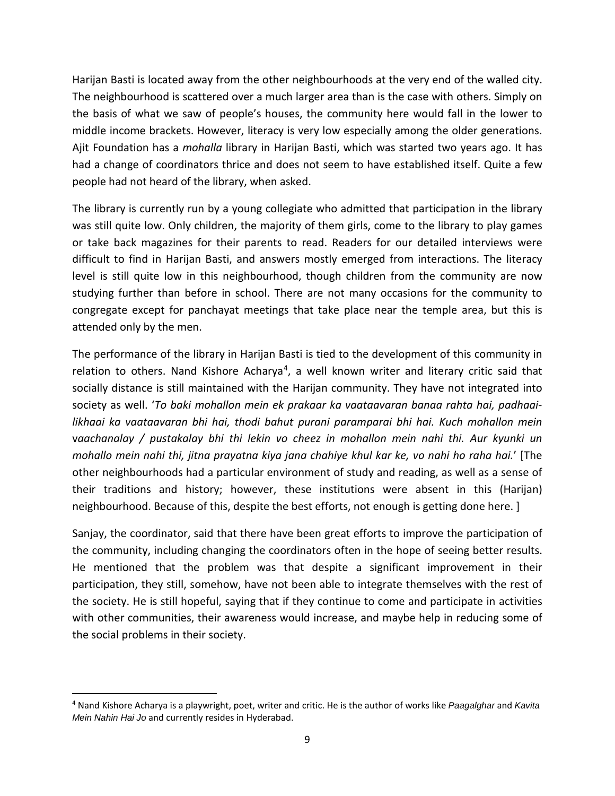Harijan Basti is located away from the other neighbourhoods at the very end of the walled city. The neighbourhood is scattered over a much larger area than is the case with others. Simply on the basis of what we saw of people's houses, the community here would fall in the lower to middle income brackets. However, literacy is very low especially among the older generations. Ajit Foundation has a *mohalla* library in Harijan Basti, which was started two years ago. It has had a change of coordinators thrice and does not seem to have established itself. Quite a few people had not heard of the library, when asked.

The library is currently run by a young collegiate who admitted that participation in the library was still quite low. Only children, the majority of them girls, come to the library to play games or take back magazines for their parents to read. Readers for our detailed interviews were difficult to find in Harijan Basti, and answers mostly emerged from interactions. The literacy level is still quite low in this neighbourhood, though children from the community are now studying further than before in school. There are not many occasions for the community to congregate except for panchayat meetings that take place near the temple area, but this is attended only by the men.

The performance of the library in Harijan Basti is tied to the development of this community in relation to others. Nand Kishore Acharya<sup>4</sup>, a well known writer and literary critic said that socially distance is still maintained with the Harijan community. They have not integrated into society as well. '*To baki mohallon mein ek prakaar ka vaataavaran banaa rahta hai, padhaailikhaai ka vaataavaran bhi hai, thodi bahut purani paramparai bhi hai. Kuch mohallon mein* v*aachanalay / pustakalay bhi thi lekin vo cheez in mohallon mein nahi thi. Aur kyunki un mohallo mein nahi thi, jitna prayatna kiya jana chahiye khul kar ke, vo nahi ho raha hai.*' [The other neighbourhoods had a particular environment of study and reading, as well as a sense of their traditions and history; however, these institutions were absent in this (Harijan) neighbourhood. Because of this, despite the best efforts, not enough is getting done here. ]

Sanjay, the coordinator, said that there have been great efforts to improve the participation of the community, including changing the coordinators often in the hope of seeing better results. He mentioned that the problem was that despite a significant improvement in their participation, they still, somehow, have not been able to integrate themselves with the rest of the society. He is still hopeful, saying that if they continue to come and participate in activities with other communities, their awareness would increase, and maybe help in reducing some of the social problems in their society.

<span id="page-8-0"></span> <sup>4</sup> Nand Kishore Acharya is a playwright, poet, writer and critic. He is the author of works like *Paagalghar* and *Kavita Mein Nahin Hai Jo* and currently resides in Hyderabad.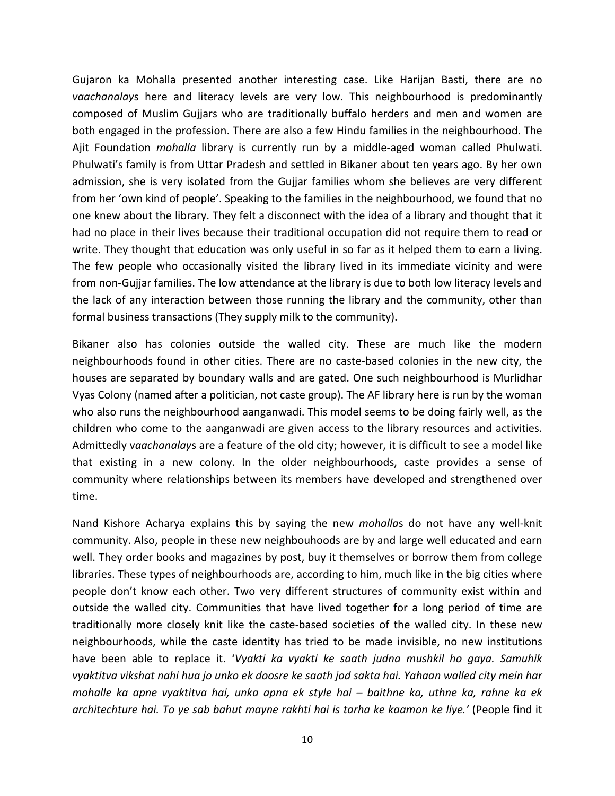Gujaron ka Mohalla presented another interesting case. Like Harijan Basti, there are no *vaachanalay*s here and literacy levels are very low. This neighbourhood is predominantly composed of Muslim Gujjars who are traditionally buffalo herders and men and women are both engaged in the profession. There are also a few Hindu families in the neighbourhood. The Ajit Foundation *mohalla* library is currently run by a middle-aged woman called Phulwati. Phulwati's family is from Uttar Pradesh and settled in Bikaner about ten years ago. By her own admission, she is very isolated from the Gujjar families whom she believes are very different from her 'own kind of people'. Speaking to the families in the neighbourhood, we found that no one knew about the library. They felt a disconnect with the idea of a library and thought that it had no place in their lives because their traditional occupation did not require them to read or write. They thought that education was only useful in so far as it helped them to earn a living. The few people who occasionally visited the library lived in its immediate vicinity and were from non-Gujjar families. The low attendance at the library is due to both low literacy levels and the lack of any interaction between those running the library and the community, other than formal business transactions (They supply milk to the community).

Bikaner also has colonies outside the walled city. These are much like the modern neighbourhoods found in other cities. There are no caste-based colonies in the new city, the houses are separated by boundary walls and are gated. One such neighbourhood is Murlidhar Vyas Colony (named after a politician, not caste group). The AF library here is run by the woman who also runs the neighbourhood aanganwadi. This model seems to be doing fairly well, as the children who come to the aanganwadi are given access to the library resources and activities. Admittedly v*aachanalay*s are a feature of the old city; however, it is difficult to see a model like that existing in a new colony. In the older neighbourhoods, caste provides a sense of community where relationships between its members have developed and strengthened over time.

Nand Kishore Acharya explains this by saying the new *mohalla*s do not have any well-knit community. Also, people in these new neighbouhoods are by and large well educated and earn well. They order books and magazines by post, buy it themselves or borrow them from college libraries. These types of neighbourhoods are, according to him, much like in the big cities where people don't know each other. Two very different structures of community exist within and outside the walled city. Communities that have lived together for a long period of time are traditionally more closely knit like the caste-based societies of the walled city. In these new neighbourhoods, while the caste identity has tried to be made invisible, no new institutions have been able to replace it. '*Vyakti ka vyakti ke saath judna mushkil ho gaya. Samuhik vyaktitva vikshat nahi hua jo unko ek doosre ke saath jod sakta hai. Yahaan walled city mein har mohalle ka apne vyaktitva hai, unka apna ek style hai – baithne ka, uthne ka, rahne ka ek architechture hai. To ye sab bahut mayne rakhti hai is tarha ke kaamon ke liye.'* (People find it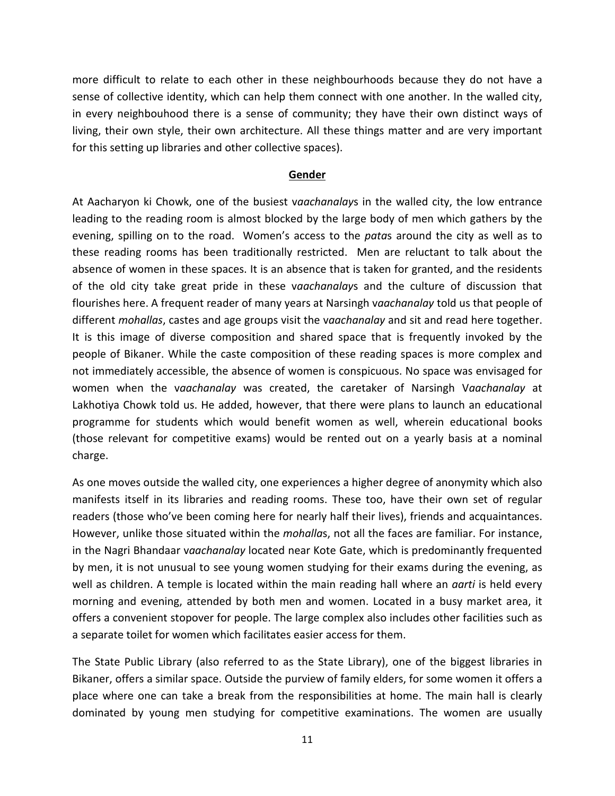more difficult to relate to each other in these neighbourhoods because they do not have a sense of collective identity, which can help them connect with one another. In the walled city, in every neighbouhood there is a sense of community; they have their own distinct ways of living, their own style, their own architecture. All these things matter and are very important for this setting up libraries and other collective spaces).

#### **Gender**

At Aacharyon ki Chowk, one of the busiest v*aachanalay*s in the walled city, the low entrance leading to the reading room is almost blocked by the large body of men which gathers by the evening, spilling on to the road. Women's access to the *pata*s around the city as well as to these reading rooms has been traditionally restricted. Men are reluctant to talk about the absence of women in these spaces. It is an absence that is taken for granted, and the residents of the old city take great pride in these v*aachanalay*s and the culture of discussion that flourishes here. A frequent reader of many years at Narsingh v*aachanalay* told us that people of different *mohallas*, castes and age groups visit the v*aachanalay* and sit and read here together. It is this image of diverse composition and shared space that is frequently invoked by the people of Bikaner. While the caste composition of these reading spaces is more complex and not immediately accessible, the absence of women is conspicuous. No space was envisaged for women when the v*aachanalay* was created, the caretaker of Narsingh V*aachanalay* at Lakhotiya Chowk told us. He added, however, that there were plans to launch an educational programme for students which would benefit women as well, wherein educational books (those relevant for competitive exams) would be rented out on a yearly basis at a nominal charge.

As one moves outside the walled city, one experiences a higher degree of anonymity which also manifests itself in its libraries and reading rooms. These too, have their own set of regular readers (those who've been coming here for nearly half their lives), friends and acquaintances. However, unlike those situated within the *mohalla*s, not all the faces are familiar. For instance, in the Nagri Bhandaar v*aachanalay* located near Kote Gate, which is predominantly frequented by men, it is not unusual to see young women studying for their exams during the evening, as well as children. A temple is located within the main reading hall where an *aarti* is held every morning and evening, attended by both men and women. Located in a busy market area, it offers a convenient stopover for people. The large complex also includes other facilities such as a separate toilet for women which facilitates easier access for them.

The State Public Library (also referred to as the State Library), one of the biggest libraries in Bikaner, offers a similar space. Outside the purview of family elders, for some women it offers a place where one can take a break from the responsibilities at home. The main hall is clearly dominated by young men studying for competitive examinations. The women are usually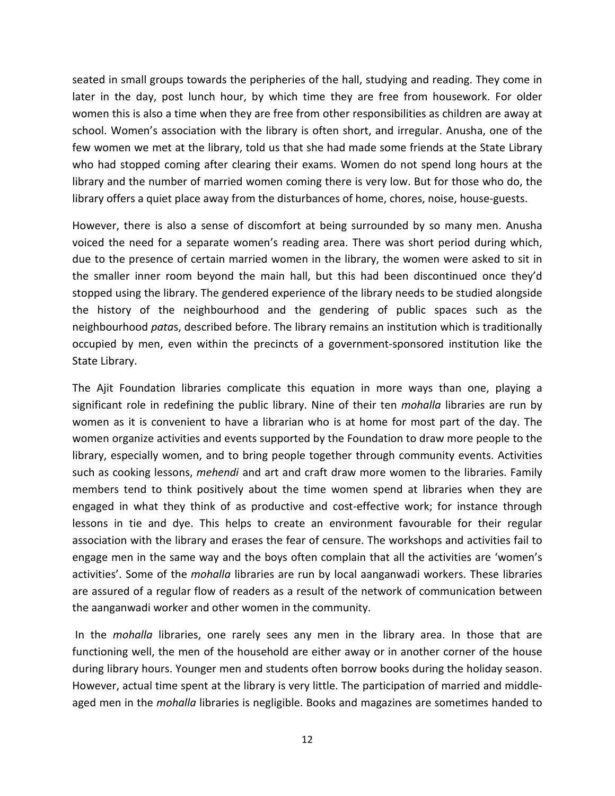seated in small groups towards the peripheries of the hall, studying and reading. They come in later in the day, post lunch hour, by which time they are free from housework. For older women this is also a time when they are free from other responsibilities as children are away at school. Women's association with the library is often short, and irregular. Anusha, one of the few women we met at the library, told us that she had made some friends at the State Library who had stopped coming after clearing their exams. Women do not spend long hours at the library and the number of married women coming there is very low. But for those who do, the library offers a quiet place away from the disturbances of home, chores, noise, house-guests.

However, there is also a sense of discomfort at being surrounded by so many men. Anusha voiced the need for a separate women's reading area. There was short period during which, due to the presence of certain married women in the library, the women were asked to sit in the smaller inner room beyond the main hall, but this had been discontinued once they'd stopped using the library. The gendered experience of the library needs to be studied alongside the history of the neighbourhood and the gendering of public spaces such as the neighbourhood *pata*s, described before. The library remains an institution which is traditionally occupied by men, even within the precincts of a government-sponsored institution like the State Library.

The Ajit Foundation libraries complicate this equation in more ways than one, playing a significant role in redefining the public library. Nine of their ten *mohalla* libraries are run by women as it is convenient to have a librarian who is at home for most part of the day. The women organize activities and events supported by the Foundation to draw more people to the library, especially women, and to bring people together through community events. Activities such as cooking lessons, *mehendi* and art and craft draw more women to the libraries. Family members tend to think positively about the time women spend at libraries when they are engaged in what they think of as productive and cost-effective work; for instance through lessons in tie and dye. This helps to create an environment favourable for their regular association with the library and erases the fear of censure. The workshops and activities fail to engage men in the same way and the boys often complain that all the activities are 'women's activities'. Some of the *mohalla* libraries are run by local aanganwadi workers. These libraries are assured of a regular flow of readers as a result of the network of communication between the aanganwadi worker and other women in the community.

In the *mohalla* libraries, one rarely sees any men in the library area. In those that are functioning well, the men of the household are either away or in another corner of the house during library hours. Younger men and students often borrow books during the holiday season. However, actual time spent at the library is very little. The participation of married and middleaged men in the *mohalla* libraries is negligible. Books and magazines are sometimes handed to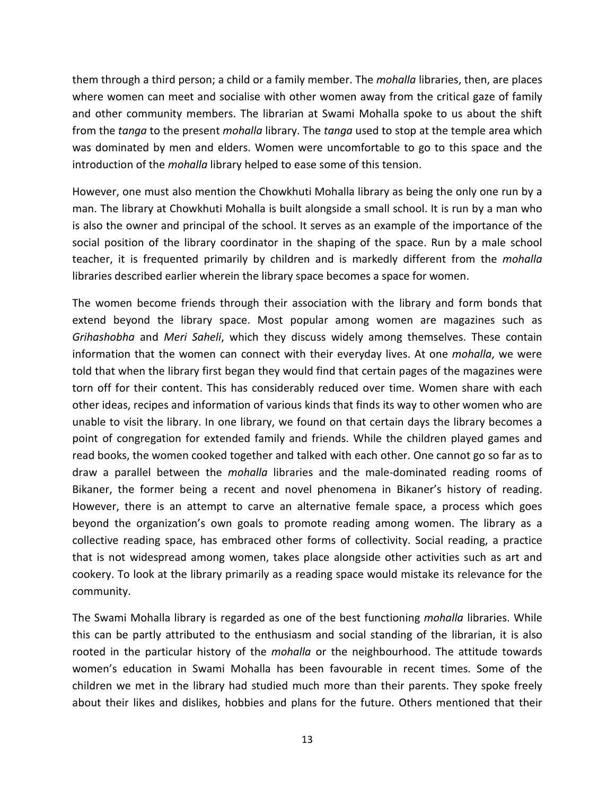them through a third person; a child or a family member. The *mohalla* libraries, then, are places where women can meet and socialise with other women away from the critical gaze of family and other community members. The librarian at Swami Mohalla spoke to us about the shift from the *tanga* to the present *mohalla* library. The *tanga* used to stop at the temple area which was dominated by men and elders. Women were uncomfortable to go to this space and the introduction of the *mohalla* library helped to ease some of this tension.

However, one must also mention the Chowkhuti Mohalla library as being the only one run by a man. The library at Chowkhuti Mohalla is built alongside a small school. It is run by a man who is also the owner and principal of the school. It serves as an example of the importance of the social position of the library coordinator in the shaping of the space. Run by a male school teacher, it is frequented primarily by children and is markedly different from the *mohalla* libraries described earlier wherein the library space becomes a space for women.

The women become friends through their association with the library and form bonds that extend beyond the library space. Most popular among women are magazines such as *Grihashobha* and *Meri Saheli*, which they discuss widely among themselves. These contain information that the women can connect with their everyday lives. At one *mohalla*, we were told that when the library first began they would find that certain pages of the magazines were torn off for their content. This has considerably reduced over time. Women share with each other ideas, recipes and information of various kinds that finds its way to other women who are unable to visit the library. In one library, we found on that certain days the library becomes a point of congregation for extended family and friends. While the children played games and read books, the women cooked together and talked with each other. One cannot go so far as to draw a parallel between the *mohalla* libraries and the male-dominated reading rooms of Bikaner, the former being a recent and novel phenomena in Bikaner's history of reading. However, there is an attempt to carve an alternative female space, a process which goes beyond the organization's own goals to promote reading among women. The library as a collective reading space, has embraced other forms of collectivity. Social reading, a practice that is not widespread among women, takes place alongside other activities such as art and cookery. To look at the library primarily as a reading space would mistake its relevance for the community.

The Swami Mohalla library is regarded as one of the best functioning *mohalla* libraries. While this can be partly attributed to the enthusiasm and social standing of the librarian, it is also rooted in the particular history of the *mohalla* or the neighbourhood. The attitude towards women's education in Swami Mohalla has been favourable in recent times. Some of the children we met in the library had studied much more than their parents. They spoke freely about their likes and dislikes, hobbies and plans for the future. Others mentioned that their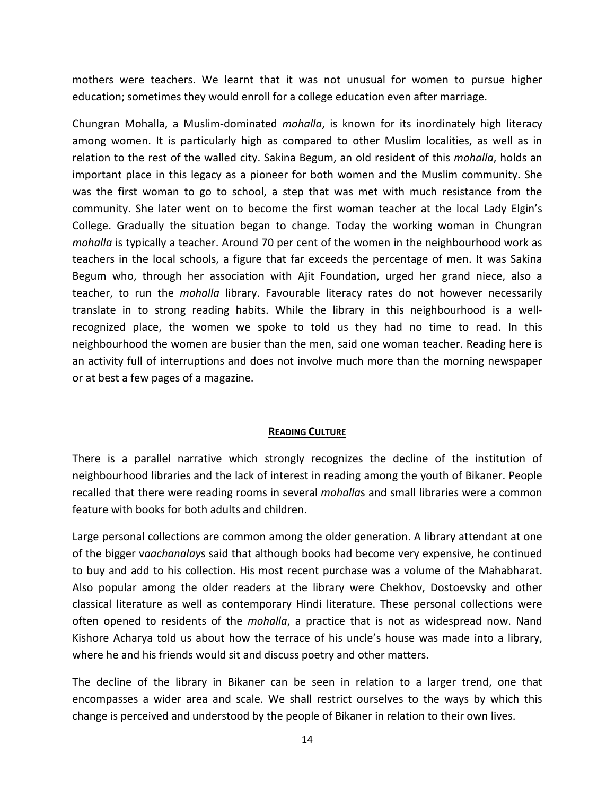mothers were teachers. We learnt that it was not unusual for women to pursue higher education; sometimes they would enroll for a college education even after marriage.

Chungran Mohalla, a Muslim-dominated *mohalla*, is known for its inordinately high literacy among women. It is particularly high as compared to other Muslim localities, as well as in relation to the rest of the walled city. Sakina Begum, an old resident of this *mohalla*, holds an important place in this legacy as a pioneer for both women and the Muslim community. She was the first woman to go to school, a step that was met with much resistance from the community. She later went on to become the first woman teacher at the local Lady Elgin's College. Gradually the situation began to change. Today the working woman in Chungran *mohalla* is typically a teacher. Around 70 per cent of the women in the neighbourhood work as teachers in the local schools, a figure that far exceeds the percentage of men. It was Sakina Begum who, through her association with Ajit Foundation, urged her grand niece, also a teacher, to run the *mohalla* library. Favourable literacy rates do not however necessarily translate in to strong reading habits. While the library in this neighbourhood is a wellrecognized place, the women we spoke to told us they had no time to read. In this neighbourhood the women are busier than the men, said one woman teacher. Reading here is an activity full of interruptions and does not involve much more than the morning newspaper or at best a few pages of a magazine.

#### **READING CULTURE**

There is a parallel narrative which strongly recognizes the decline of the institution of neighbourhood libraries and the lack of interest in reading among the youth of Bikaner. People recalled that there were reading rooms in several *mohalla*s and small libraries were a common feature with books for both adults and children.

Large personal collections are common among the older generation. A library attendant at one of the bigger v*aachanalay*s said that although books had become very expensive, he continued to buy and add to his collection. His most recent purchase was a volume of the Mahabharat. Also popular among the older readers at the library were Chekhov, Dostoevsky and other classical literature as well as contemporary Hindi literature. These personal collections were often opened to residents of the *mohalla*, a practice that is not as widespread now. Nand Kishore Acharya told us about how the terrace of his uncle's house was made into a library, where he and his friends would sit and discuss poetry and other matters.

The decline of the library in Bikaner can be seen in relation to a larger trend, one that encompasses a wider area and scale. We shall restrict ourselves to the ways by which this change is perceived and understood by the people of Bikaner in relation to their own lives.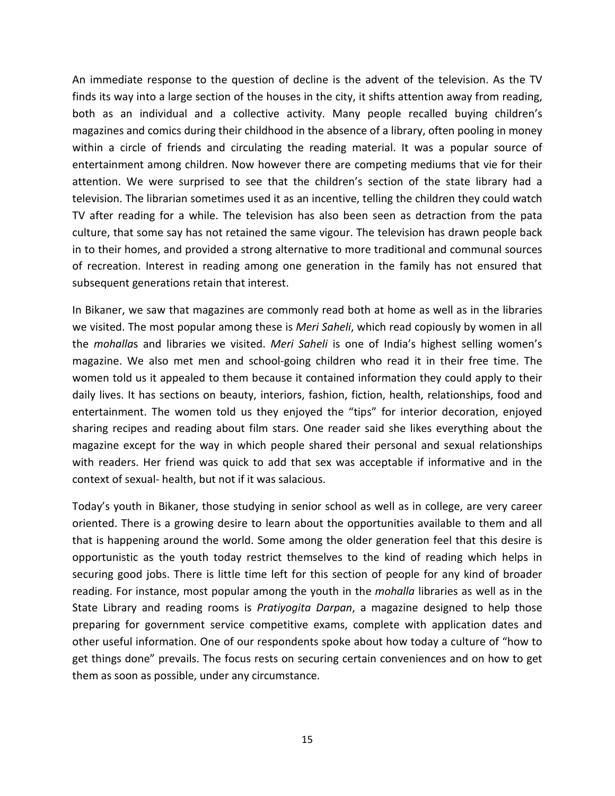An immediate response to the question of decline is the advent of the television. As the TV finds its way into a large section of the houses in the city, it shifts attention away from reading, both as an individual and a collective activity. Many people recalled buying children's magazines and comics during their childhood in the absence of a library, often pooling in money within a circle of friends and circulating the reading material. It was a popular source of entertainment among children. Now however there are competing mediums that vie for their attention. We were surprised to see that the children's section of the state library had a television. The librarian sometimes used it as an incentive, telling the children they could watch TV after reading for a while. The television has also been seen as detraction from the pata culture, that some say has not retained the same vigour. The television has drawn people back in to their homes, and provided a strong alternative to more traditional and communal sources of recreation. Interest in reading among one generation in the family has not ensured that subsequent generations retain that interest.

In Bikaner, we saw that magazines are commonly read both at home as well as in the libraries we visited. The most popular among these is *Meri Saheli*, which read copiously by women in all the *mohalla*s and libraries we visited. *Meri Saheli* is one of India's highest selling women's magazine. We also met men and school-going children who read it in their free time. The women told us it appealed to them because it contained information they could apply to their daily lives. It has sections on beauty, interiors, fashion, fiction, health, relationships, food and entertainment. The women told us they enjoyed the "tips" for interior decoration, enjoyed sharing recipes and reading about film stars. One reader said she likes everything about the magazine except for the way in which people shared their personal and sexual relationships with readers. Her friend was quick to add that sex was acceptable if informative and in the context of sexual- health, but not if it was salacious.

Today's youth in Bikaner, those studying in senior school as well as in college, are very career oriented. There is a growing desire to learn about the opportunities available to them and all that is happening around the world. Some among the older generation feel that this desire is opportunistic as the youth today restrict themselves to the kind of reading which helps in securing good jobs. There is little time left for this section of people for any kind of broader reading. For instance, most popular among the youth in the *mohalla* libraries as well as in the State Library and reading rooms is *Pratiyogita Darpan*, a magazine designed to help those preparing for government service competitive exams, complete with application dates and other useful information. One of our respondents spoke about how today a culture of "how to get things done" prevails. The focus rests on securing certain conveniences and on how to get them as soon as possible, under any circumstance.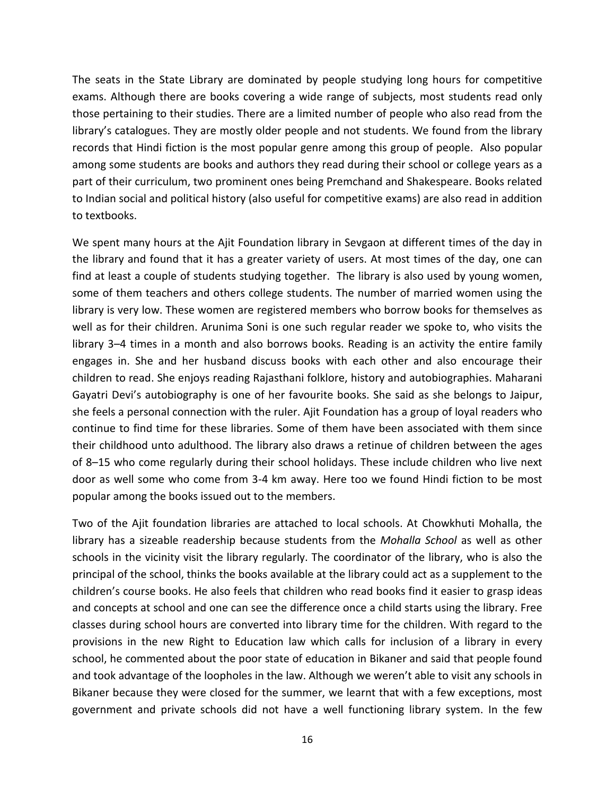The seats in the State Library are dominated by people studying long hours for competitive exams. Although there are books covering a wide range of subjects, most students read only those pertaining to their studies. There are a limited number of people who also read from the library's catalogues. They are mostly older people and not students. We found from the library records that Hindi fiction is the most popular genre among this group of people. Also popular among some students are books and authors they read during their school or college years as a part of their curriculum, two prominent ones being Premchand and Shakespeare. Books related to Indian social and political history (also useful for competitive exams) are also read in addition to textbooks.

We spent many hours at the Ajit Foundation library in Sevgaon at different times of the day in the library and found that it has a greater variety of users. At most times of the day, one can find at least a couple of students studying together. The library is also used by young women, some of them teachers and others college students. The number of married women using the library is very low. These women are registered members who borrow books for themselves as well as for their children. Arunima Soni is one such regular reader we spoke to, who visits the library 3–4 times in a month and also borrows books. Reading is an activity the entire family engages in. She and her husband discuss books with each other and also encourage their children to read. She enjoys reading Rajasthani folklore, history and autobiographies. Maharani Gayatri Devi's autobiography is one of her favourite books. She said as she belongs to Jaipur, she feels a personal connection with the ruler. Ajit Foundation has a group of loyal readers who continue to find time for these libraries. Some of them have been associated with them since their childhood unto adulthood. The library also draws a retinue of children between the ages of 8–15 who come regularly during their school holidays. These include children who live next door as well some who come from 3-4 km away. Here too we found Hindi fiction to be most popular among the books issued out to the members.

Two of the Ajit foundation libraries are attached to local schools. At Chowkhuti Mohalla, the library has a sizeable readership because students from the *Mohalla School* as well as other schools in the vicinity visit the library regularly. The coordinator of the library, who is also the principal of the school, thinks the books available at the library could act as a supplement to the children's course books. He also feels that children who read books find it easier to grasp ideas and concepts at school and one can see the difference once a child starts using the library. Free classes during school hours are converted into library time for the children. With regard to the provisions in the new Right to Education law which calls for inclusion of a library in every school, he commented about the poor state of education in Bikaner and said that people found and took advantage of the loopholes in the law. Although we weren't able to visit any schools in Bikaner because they were closed for the summer, we learnt that with a few exceptions, most government and private schools did not have a well functioning library system. In the few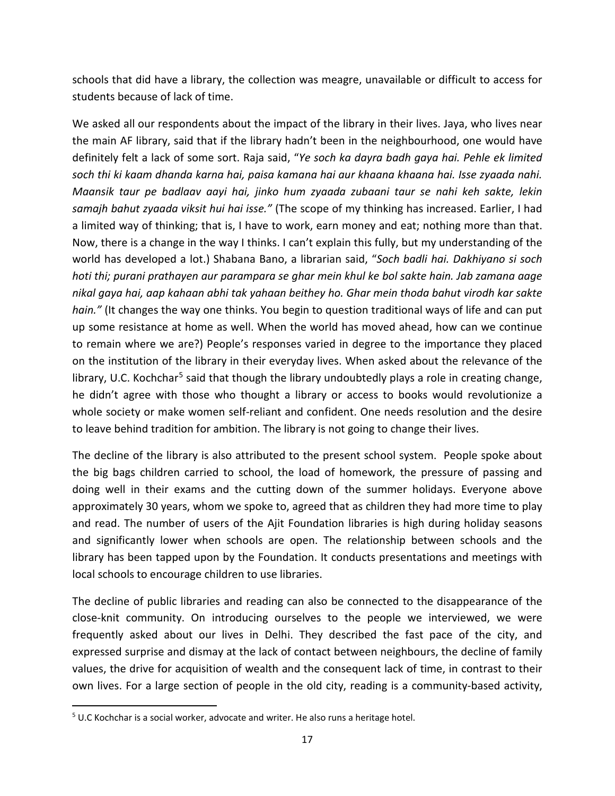schools that did have a library, the collection was meagre, unavailable or difficult to access for students because of lack of time.

We asked all our respondents about the impact of the library in their lives. Jaya, who lives near the main AF library, said that if the library hadn't been in the neighbourhood, one would have definitely felt a lack of some sort. Raja said, "*Ye soch ka dayra badh gaya hai. Pehle ek limited soch thi ki kaam dhanda karna hai, paisa kamana hai aur khaana khaana hai. Isse zyaada nahi. Maansik taur pe badlaav aayi hai, jinko hum zyaada zubaani taur se nahi keh sakte, lekin samajh bahut zyaada viksit hui hai isse."* (The scope of my thinking has increased. Earlier, I had a limited way of thinking; that is, I have to work, earn money and eat; nothing more than that. Now, there is a change in the way I thinks. I can't explain this fully, but my understanding of the world has developed a lot.) Shabana Bano, a librarian said, "*Soch badli hai. Dakhiyano si soch hoti thi; purani prathayen aur parampara se ghar mein khul ke bol sakte hain. Jab zamana aage nikal gaya hai, aap kahaan abhi tak yahaan beithey ho. Ghar mein thoda bahut virodh kar sakte hain."* (It changes the way one thinks. You begin to question traditional ways of life and can put up some resistance at home as well. When the world has moved ahead, how can we continue to remain where we are?) People's responses varied in degree to the importance they placed on the institution of the library in their everyday lives. When asked about the relevance of the library, U.C. Kochchar<sup>[5](#page-16-0)</sup> said that though the library undoubtedly plays a role in creating change, he didn't agree with those who thought a library or access to books would revolutionize a whole society or make women self-reliant and confident. One needs resolution and the desire to leave behind tradition for ambition. The library is not going to change their lives.

The decline of the library is also attributed to the present school system. People spoke about the big bags children carried to school, the load of homework, the pressure of passing and doing well in their exams and the cutting down of the summer holidays. Everyone above approximately 30 years, whom we spoke to, agreed that as children they had more time to play and read. The number of users of the Ajit Foundation libraries is high during holiday seasons and significantly lower when schools are open. The relationship between schools and the library has been tapped upon by the Foundation. It conducts presentations and meetings with local schools to encourage children to use libraries.

The decline of public libraries and reading can also be connected to the disappearance of the close-knit community. On introducing ourselves to the people we interviewed, we were frequently asked about our lives in Delhi. They described the fast pace of the city, and expressed surprise and dismay at the lack of contact between neighbours, the decline of family values, the drive for acquisition of wealth and the consequent lack of time, in contrast to their own lives. For a large section of people in the old city, reading is a community-based activity,

<span id="page-16-0"></span><sup>&</sup>lt;sup>5</sup> U.C Kochchar is a social worker, advocate and writer. He also runs a heritage hotel.